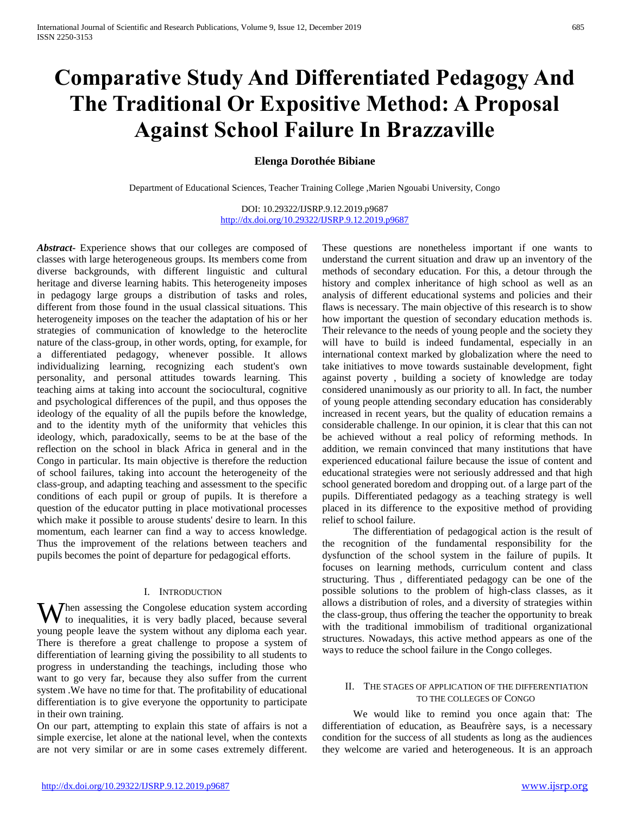# **Comparative Study And Differentiated Pedagogy And The Traditional Or Expositive Method: A Proposal Against School Failure In Brazzaville**

## **Elenga Dorothée Bibiane**

Department of Educational Sciences, Teacher Training College ,Marien Ngouabi University, Congo

DOI: 10.29322/IJSRP.9.12.2019.p9687 <http://dx.doi.org/10.29322/IJSRP.9.12.2019.p9687>

*Abstract***-** Experience shows that our colleges are composed of classes with large heterogeneous groups. Its members come from diverse backgrounds, with different linguistic and cultural heritage and diverse learning habits. This heterogeneity imposes in pedagogy large groups a distribution of tasks and roles, different from those found in the usual classical situations. This heterogeneity imposes on the teacher the adaptation of his or her strategies of communication of knowledge to the heteroclite nature of the class-group, in other words, opting, for example, for a differentiated pedagogy, whenever possible. It allows individualizing learning, recognizing each student's own personality, and personal attitudes towards learning. This teaching aims at taking into account the sociocultural, cognitive and psychological differences of the pupil, and thus opposes the ideology of the equality of all the pupils before the knowledge, and to the identity myth of the uniformity that vehicles this ideology, which, paradoxically, seems to be at the base of the reflection on the school in black Africa in general and in the Congo in particular. Its main objective is therefore the reduction of school failures, taking into account the heterogeneity of the class-group, and adapting teaching and assessment to the specific conditions of each pupil or group of pupils. It is therefore a question of the educator putting in place motivational processes which make it possible to arouse students' desire to learn. In this momentum, each learner can find a way to access knowledge. Thus the improvement of the relations between teachers and pupils becomes the point of departure for pedagogical efforts.

## I. INTRODUCTION

When assessing the Congolese education system according<br>to inequalities, it is very badly placed, because several to inequalities, it is very badly placed, because several young people leave the system without any diploma each year. There is therefore a great challenge to propose a system of differentiation of learning giving the possibility to all students to progress in understanding the teachings, including those who want to go very far, because they also suffer from the current system .We have no time for that. The profitability of educational differentiation is to give everyone the opportunity to participate in their own training.

On our part, attempting to explain this state of affairs is not a simple exercise, let alone at the national level, when the contexts are not very similar or are in some cases extremely different. These questions are nonetheless important if one wants to understand the current situation and draw up an inventory of the methods of secondary education. For this, a detour through the history and complex inheritance of high school as well as an analysis of different educational systems and policies and their flaws is necessary. The main objective of this research is to show how important the question of secondary education methods is. Their relevance to the needs of young people and the society they will have to build is indeed fundamental, especially in an international context marked by globalization where the need to take initiatives to move towards sustainable development, fight against poverty , building a society of knowledge are today considered unanimously as our priority to all. In fact, the number of young people attending secondary education has considerably increased in recent years, but the quality of education remains a considerable challenge. In our opinion, it is clear that this can not be achieved without a real policy of reforming methods. In addition, we remain convinced that many institutions that have experienced educational failure because the issue of content and educational strategies were not seriously addressed and that high school generated boredom and dropping out. of a large part of the pupils. Differentiated pedagogy as a teaching strategy is well placed in its difference to the expositive method of providing relief to school failure.

 The differentiation of pedagogical action is the result of the recognition of the fundamental responsibility for the dysfunction of the school system in the failure of pupils. It focuses on learning methods, curriculum content and class structuring. Thus *,* differentiated pedagogy can be one of the possible solutions to the problem of high-class classes, as it allows a distribution of roles, and a diversity of strategies within the class-group, thus offering the teacher the opportunity to break with the traditional immobilism of traditional organizational structures. Nowadays, this active method appears as one of the ways to reduce the school failure in the Congo colleges.

## II. THE STAGES OF APPLICATION OF THE DIFFERENTIATION TO THE COLLEGES OF CONGO

 We would like to remind you once again that: The differentiation of education, as Beaufrère says, is a necessary condition for the success of all students as long as the audiences they welcome are varied and heterogeneous. It is an approach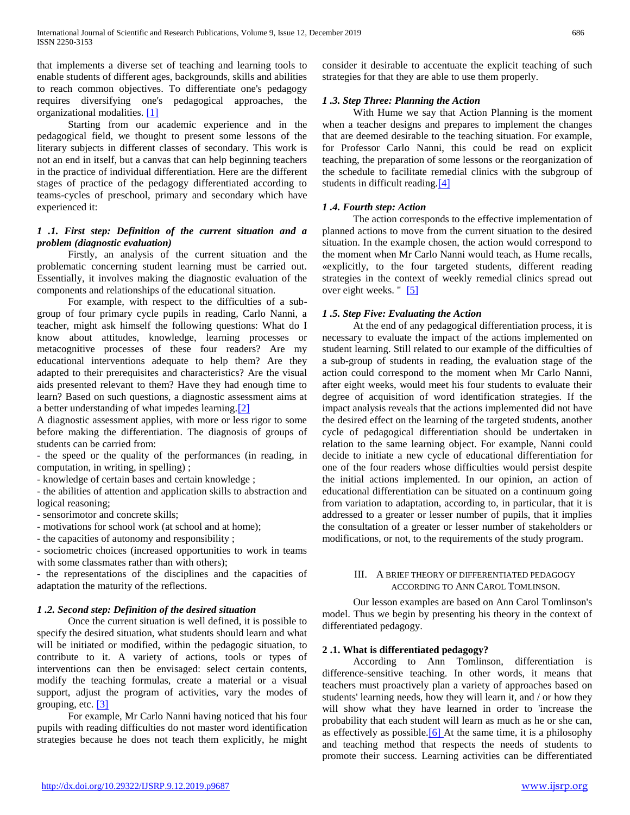that implements a diverse set of teaching and learning tools to enable students of different ages, backgrounds, skills and abilities to reach common objectives. To differentiate one's pedagogy requires diversifying one's pedagogical approaches, the organizational modalities. [\[1\]](https://translate.googleusercontent.com/translate_f#_ftn1)

 Starting from our academic experience and in the pedagogical field, we thought to present some lessons of the literary subjects in different classes of secondary. This work is not an end in itself, but a canvas that can help beginning teachers in the practice of individual differentiation. Here are the different stages of practice of the pedagogy differentiated according to teams-cycles of preschool, primary and secondary which have experienced it:

## *1 .1. First step: Definition of the current situation and a problem (diagnostic evaluation)*

 Firstly, an analysis of the current situation and the problematic concerning student learning must be carried out. Essentially, it involves making the diagnostic evaluation of the components and relationships of the educational situation.

 For example, with respect to the difficulties of a subgroup of four primary cycle pupils in reading, Carlo Nanni, a teacher, might ask himself the following questions: What do I know about attitudes, knowledge, learning processes or metacognitive processes of these four readers? Are my educational interventions adequate to help them? Are they adapted to their prerequisites and characteristics? Are the visual aids presented relevant to them? Have they had enough time to learn? Based on such questions, a diagnostic assessment aims at a better understanding of what impedes learning[.\[2\]](https://translate.googleusercontent.com/translate_f#_ftn2)

A diagnostic assessment applies, with more or less rigor to some before making the differentiation. The diagnosis of groups of students can be carried from:

- the speed or the quality of the performances (in reading, in computation, in writing, in spelling) ;

- knowledge of certain bases and certain knowledge ;

- the abilities of attention and application skills to abstraction and logical reasoning;

- sensorimotor and concrete skills;

- motivations for school work (at school and at home);

- the capacities of autonomy and responsibility ;

- sociometric choices (increased opportunities to work in teams with some classmates rather than with others):

- the representations of the disciplines and the capacities of adaptation the maturity of the reflections.

## *1 .2. Second step: Definition of the desired situation*

 Once the current situation is well defined, it is possible to specify the desired situation, what students should learn and what will be initiated or modified, within the pedagogic situation, to contribute to it. A variety of actions, tools or types of interventions can then be envisaged: select certain contents, modify the teaching formulas, create a material or a visual support, adjust the program of activities, vary the modes of grouping, etc. [\[3\]](https://translate.googleusercontent.com/translate_f#_ftn3)

 For example, Mr Carlo Nanni having noticed that his four pupils with reading difficulties do not master word identification strategies because he does not teach them explicitly, he might

consider it desirable to accentuate the explicit teaching of such strategies for that they are able to use them properly.

## *1 .3. Step Three: Planning the Action*

 With Hume we say that Action Planning is the moment when a teacher designs and prepares to implement the changes that are deemed desirable to the teaching situation. For example, for Professor Carlo Nanni, this could be read on explicit teaching, the preparation of some lessons or the reorganization of the schedule to facilitate remedial clinics with the subgroup of students in difficult reading[.\[4\]](https://translate.googleusercontent.com/translate_f#_ftn4)

### *1 .4. Fourth step: Action*

 The action corresponds to the effective implementation of planned actions to move from the current situation to the desired situation. In the example chosen, the action would correspond to the moment when Mr Carlo Nanni would teach, as Hume recalls, «explicitly, to the four targeted students, different reading strategies in the context of weekly remedial clinics spread out over eight weeks. " [\[5\]](https://translate.googleusercontent.com/translate_f#_ftn5)

### *1 .5. Step Five: Evaluating the Action*

 At the end of any pedagogical differentiation process, it is necessary to evaluate the impact of the actions implemented on student learning. Still related to our example of the difficulties of a sub-group of students in reading, the evaluation stage of the action could correspond to the moment when Mr Carlo Nanni, after eight weeks, would meet his four students to evaluate their degree of acquisition of word identification strategies. If the impact analysis reveals that the actions implemented did not have the desired effect on the learning of the targeted students, another cycle of pedagogical differentiation should be undertaken in relation to the same learning object. For example, Nanni could decide to initiate a new cycle of educational differentiation for one of the four readers whose difficulties would persist despite the initial actions implemented. In our opinion, an action of educational differentiation can be situated on a continuum going from variation to adaptation, according to, in particular, that it is addressed to a greater or lesser number of pupils, that it implies the consultation of a greater or lesser number of stakeholders or modifications, or not, to the requirements of the study program.

#### III. A BRIEF THEORY OF DIFFERENTIATED PEDAGOGY ACCORDING TO ANN CAROL TOMLINSON.

 Our lesson examples are based on Ann Carol Tomlinson's model. Thus we begin by presenting his theory in the context of differentiated pedagogy.

## **2 .1. What is differentiated pedagogy?**

 According to Ann Tomlinson, differentiation is difference-sensitive teaching. In other words, it means that teachers must proactively plan a variety of approaches based on students' learning needs, how they will learn it, and / or how they will show what they have learned in order to 'increase the probability that each student will learn as much as he or she can, as effectively as possible.  $[6]$  At the same time, it is a philosophy and teaching method that respects the needs of students to promote their success. Learning activities can be differentiated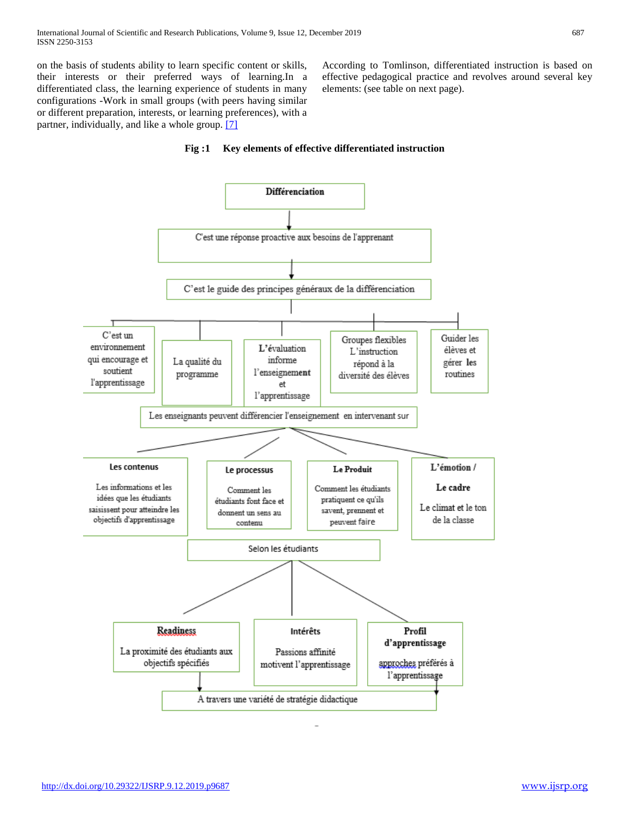on the basis of students ability to learn specific content or skills, their interests or their preferred ways of learning.In a differentiated class, the learning experience of students in many configurations -Work in small groups (with peers having similar or different preparation, interests, or learning preferences), with a partner, individually, and like a whole group. [\[7\]](https://translate.googleusercontent.com/translate_f#_ftn7)

According to Tomlinson, differentiated instruction is based on effective pedagogical practice and revolves around several key elements: (see table on next page).



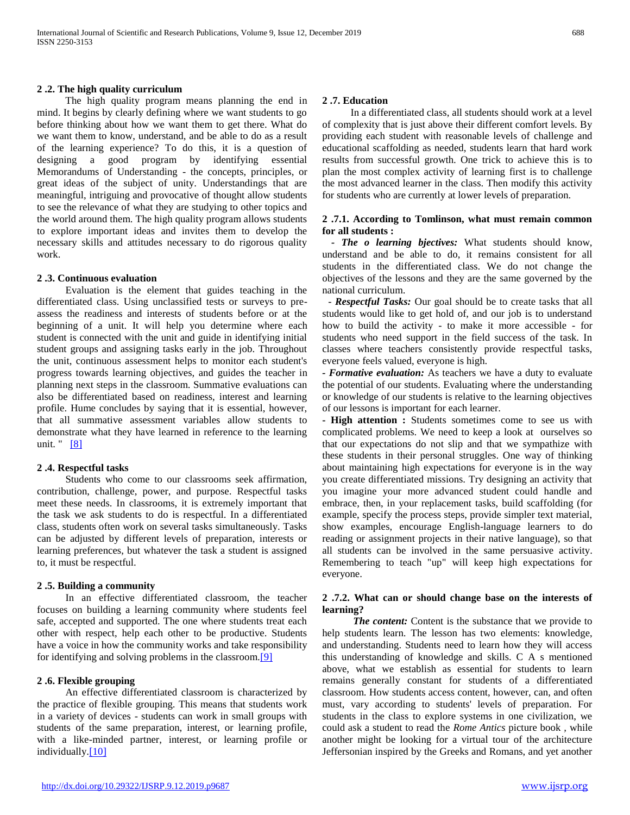The high quality program means planning the end in mind. It begins by clearly defining where we want students to go before thinking about how we want them to get there. What do we want them to know, understand, and be able to do as a result of the learning experience? To do this, it is a question of designing a good program by identifying essential Memorandums of Understanding - the concepts, principles, or great ideas of the subject of unity. Understandings that are meaningful, intriguing and provocative of thought allow students to see the relevance of what they are studying to other topics and the world around them. The high quality program allows students to explore important ideas and invites them to develop the necessary skills and attitudes necessary to do rigorous quality work.

#### **2 .3. Continuous evaluation**

 Evaluation is the element that guides teaching in the differentiated class. Using unclassified tests or surveys to preassess the readiness and interests of students before or at the beginning of a unit. It will help you determine where each student is connected with the unit and guide in identifying initial student groups and assigning tasks early in the job. Throughout the unit, continuous assessment helps to monitor each student's progress towards learning objectives, and guides the teacher in planning next steps in the classroom. Summative evaluations can also be differentiated based on readiness, interest and learning profile. Hume concludes by saying that it is essential, however, that all summative assessment variables allow students to demonstrate what they have learned in reference to the learning unit. " [\[8\]](https://translate.googleusercontent.com/translate_f#_ftn8)

## **2 .4. Respectful tasks**

 Students who come to our classrooms seek affirmation, contribution, challenge, power, and purpose. Respectful tasks meet these needs. In classrooms, it is extremely important that the task we ask students to do is respectful. In a differentiated class, students often work on several tasks simultaneously. Tasks can be adjusted by different levels of preparation, interests or learning preferences, but whatever the task a student is assigned to, it must be respectful.

#### **2 .5. Building a community**

 In an effective differentiated classroom, the teacher focuses on building a learning community where students feel safe, accepted and supported. The one where students treat each other with respect, help each other to be productive. Students have a voice in how the community works and take responsibility for identifying and solving problems in the classroom[.\[9\]](https://translate.googleusercontent.com/translate_f#_ftn9)

### **2 .6. Flexible grouping**

 An effective differentiated classroom is characterized by the practice of flexible grouping. This means that students work in a variety of devices - students can work in small groups with students of the same preparation, interest, or learning profile, with a like-minded partner, interest, or learning profile or individually[.\[10\]](https://translate.googleusercontent.com/translate_f#_ftn10)

### **2 .7. Education**

 In a differentiated class, all students should work at a level of complexity that is just above their different comfort levels. By providing each student with reasonable levels of challenge and educational scaffolding as needed, students learn that hard work results from successful growth. One trick to achieve this is to plan the most complex activity of learning first is to challenge the most advanced learner in the class. Then modify this activity for students who are currently at lower levels of preparation.

### **2 .7.1. According to Tomlinson, what must remain common for all students :**

*- The o learning bjectives:* What students should know, understand and be able to do, it remains consistent for all students in the differentiated class. We do not change the objectives of the lessons and they are the same governed by the national curriculum.

- *Respectful Tasks:* Our goal should be to create tasks that all students would like to get hold of, and our job is to understand how to build the activity - to make it more accessible - for students who need support in the field success of the task. In classes where teachers consistently provide respectful tasks, everyone feels valued, everyone is high.

*- Formative evaluation:* As teachers we have a duty to evaluate the potential of our students. Evaluating where the understanding or knowledge of our students is relative to the learning objectives of our lessons is important for each learner.

**- High attention :** Students sometimes come to see us with complicated problems. We need to keep a look at ourselves so that our expectations do not slip and that we sympathize with these students in their personal struggles. One way of thinking about maintaining high expectations for everyone is in the way you create differentiated missions. Try designing an activity that you imagine your more advanced student could handle and embrace, then, in your replacement tasks, build scaffolding (for example, specify the process steps, provide simpler text material, show examples, encourage English-language learners to do reading or assignment projects in their native language), so that all students can be involved in the same persuasive activity. Remembering to teach "up" will keep high expectations for everyone.

### **2 .7.2. What can or should change base on the interests of learning?**

 *The content:* Content is the substance that we provide to help students learn. The lesson has two elements: knowledge, and understanding. Students need to learn how they will access this understanding of knowledge and skills. C A s mentioned above, what we establish as essential for students to learn remains generally constant for students of a differentiated classroom. How students access content, however, can, and often must, vary according to students' levels of preparation. For students in the class to explore systems in one civilization, we could ask a student to read the *Rome Antics* picture book *,* while another might be looking for a virtual tour of the architecture Jeffersonian inspired by the Greeks and Romans, and yet another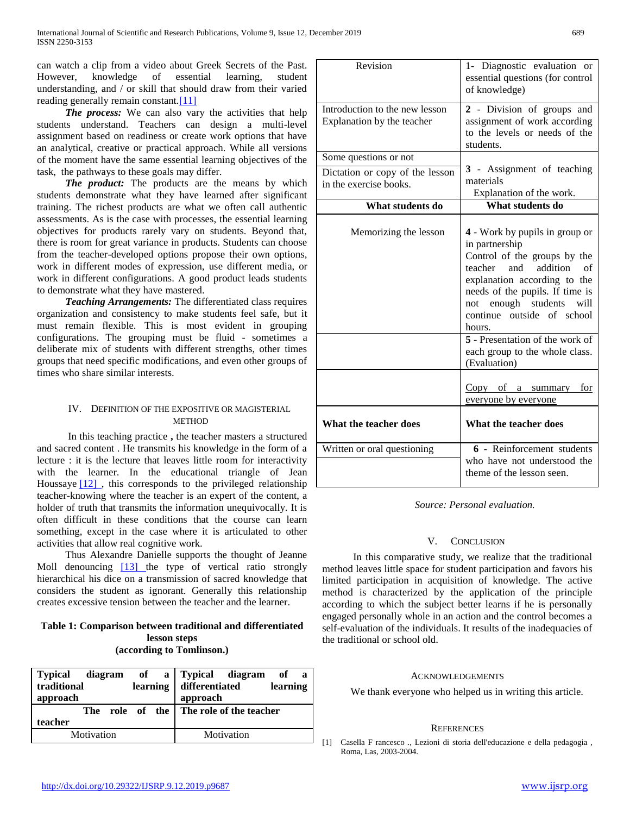can watch a clip from a video about Greek Secrets of the Past. However, knowledge of essential learning, student understanding, and / or skill that should draw from their varied reading generally remain constant.<sup>[11]</sup>

**The process:** We can also vary the activities that help students understand. Teachers can design a multi-level assignment based on readiness or create work options that have an analytical, creative or practical approach. While all versions of the moment have the same essential learning objectives of the task, the pathways to these goals may differ.

 *The product:* The products are the means by which students demonstrate what they have learned after significant training. The richest products are what we often call authentic assessments. As is the case with processes, the essential learning objectives for products rarely vary on students. Beyond that, there is room for great variance in products. Students can choose from the teacher-developed options propose their own options, work in different modes of expression, use different media, or work in different configurations. A good product leads students to demonstrate what they have mastered.

 *Teaching Arrangements:* The differentiated class requires organization and consistency to make students feel safe, but it must remain flexible. This is most evident in grouping configurations. The grouping must be fluid - sometimes a deliberate mix of students with different strengths, other times groups that need specific modifications, and even other groups of times who share similar interests.

## IV. DEFINITION OF THE EXPOSITIVE OR MAGISTERIAL **METHOD**

 In this teaching practice **,** the teacher masters a structured and sacred content . He transmits his knowledge in the form of a lecture : it is the lecture that leaves little room for interactivity with the learner. In the educational triangle of Jean Houssaye [12], this corresponds to the privileged relationship teacher-knowing where the teacher is an expert of the content, a holder of truth that transmits the information unequivocally. It is often difficult in these conditions that the course can learn something, except in the case where it is articulated to other activities that allow real cognitive work.

 Thus Alexandre Danielle supports the thought of Jeanne Moll denouncing [\[13\] t](https://translate.googleusercontent.com/translate_f#_ftn13)he type of vertical ratio strongly hierarchical his dice on a transmission of sacred knowledge that considers the student as ignorant. Generally this relationship creates excessive tension between the teacher and the learner.

## **Table 1: Comparison between traditional and differentiated lesson steps (according to Tomlinson.)**

| Typical<br>diagram<br>traditional<br>approach | of a Typical diagram<br>of<br>a<br>learning<br>learning differentiated<br>approach |
|-----------------------------------------------|------------------------------------------------------------------------------------|
|                                               | The role of the The role of the teacher                                            |
| teacher                                       |                                                                                    |
| Motivation                                    | Motivation                                                                         |

| Revision                                                                           | 1- Diagnostic evaluation or<br>essential questions (for control<br>of knowledge)                                                                                                                                                                                                                                                                            |
|------------------------------------------------------------------------------------|-------------------------------------------------------------------------------------------------------------------------------------------------------------------------------------------------------------------------------------------------------------------------------------------------------------------------------------------------------------|
| Introduction to the new lesson<br>Explanation by the teacher                       | 2 - Division of groups and<br>assignment of work according<br>to the levels or needs of the<br>students.                                                                                                                                                                                                                                                    |
| Some questions or not<br>Dictation or copy of the lesson<br>in the exercise books. | 3 - Assignment of teaching<br>materials<br>Explanation of the work.<br>What students do                                                                                                                                                                                                                                                                     |
| What students do                                                                   |                                                                                                                                                                                                                                                                                                                                                             |
| Memorizing the lesson                                                              | 4 - Work by pupils in group or<br>in partnership<br>Control of the groups by the<br>addition<br>teacher<br>and<br>$\sigma$ f<br>explanation according to the<br>needs of the pupils. If time is<br>not enough students<br>will<br>continue outside of school<br>hours.<br>5 - Presentation of the work of<br>each group to the whole class.<br>(Evaluation) |
|                                                                                    | $Copy$ of a summary<br><u>for</u><br>everyone by everyone                                                                                                                                                                                                                                                                                                   |
| What the teacher does                                                              | What the teacher does                                                                                                                                                                                                                                                                                                                                       |
| Written or oral questioning                                                        | 6 - Reinforcement students<br>who have not understood the<br>theme of the lesson seen.                                                                                                                                                                                                                                                                      |

## *Source: Personal evaluation.*

## V. CONCLUSION

 In this comparative study, we realize that the traditional method leaves little space for student participation and favors his limited participation in acquisition of knowledge. The active method is characterized by the application of the principle according to which the subject better learns if he is personally engaged personally whole in an action and the control becomes a self-evaluation of the individuals. It results of the inadequacies of the traditional or school old.

#### ACKNOWLEDGEMENTS

We thank everyone who helped us in writing this article.

#### **REFERENCES**

<sup>[1]</sup> Casella F rancesco ., Lezioni di storia dell'educazione e della pedagogia , Roma, Las, 2003-2004.